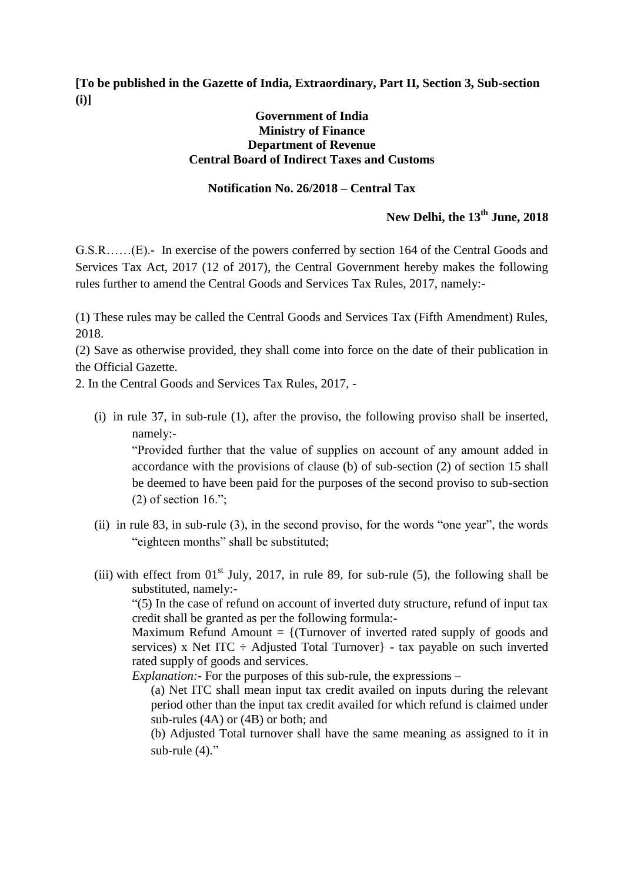**[To be published in the Gazette of India, Extraordinary, Part II, Section 3, Sub-section (i)]**

#### **Government of India Ministry of Finance Department of Revenue Central Board of Indirect Taxes and Customs**

### **Notification No. 26/2018 – Central Tax**

# **New Delhi, the 13 th June, 2018**

G.S.R……(E).- In exercise of the powers conferred by section 164 of the Central Goods and Services Tax Act, 2017 (12 of 2017), the Central Government hereby makes the following rules further to amend the Central Goods and Services Tax Rules, 2017, namely:-

(1) These rules may be called the Central Goods and Services Tax (Fifth Amendment) Rules, 2018.

(2) Save as otherwise provided, they shall come into force on the date of their publication in the Official Gazette.

2. In the Central Goods and Services Tax Rules, 2017, -

(i) in rule 37, in sub-rule (1), after the proviso, the following proviso shall be inserted, namely:-

"Provided further that the value of supplies on account of any amount added in accordance with the provisions of clause (b) of sub-section (2) of section 15 shall be deemed to have been paid for the purposes of the second proviso to sub-section  $(2)$  of section 16.":

- (ii) in rule 83, in sub-rule (3), in the second proviso, for the words "one year", the words "eighteen months" shall be substituted;
- (iii) with effect from  $01<sup>st</sup>$  July, 2017, in rule 89, for sub-rule (5), the following shall be substituted, namely:-

"(5) In the case of refund on account of inverted duty structure, refund of input tax credit shall be granted as per the following formula:-

Maximum Refund Amount  $=$  {(Turnover of inverted rated supply of goods and services) x Net ITC  $\div$  Adjusted Total Turnover} - tax payable on such inverted rated supply of goods and services.

*Explanation:-* For the purposes of this sub-rule, the expressions –

(a) Net ITC shall mean input tax credit availed on inputs during the relevant period other than the input tax credit availed for which refund is claimed under sub-rules (4A) or (4B) or both; and

(b) Adjusted Total turnover shall have the same meaning as assigned to it in sub-rule  $(4)$ ."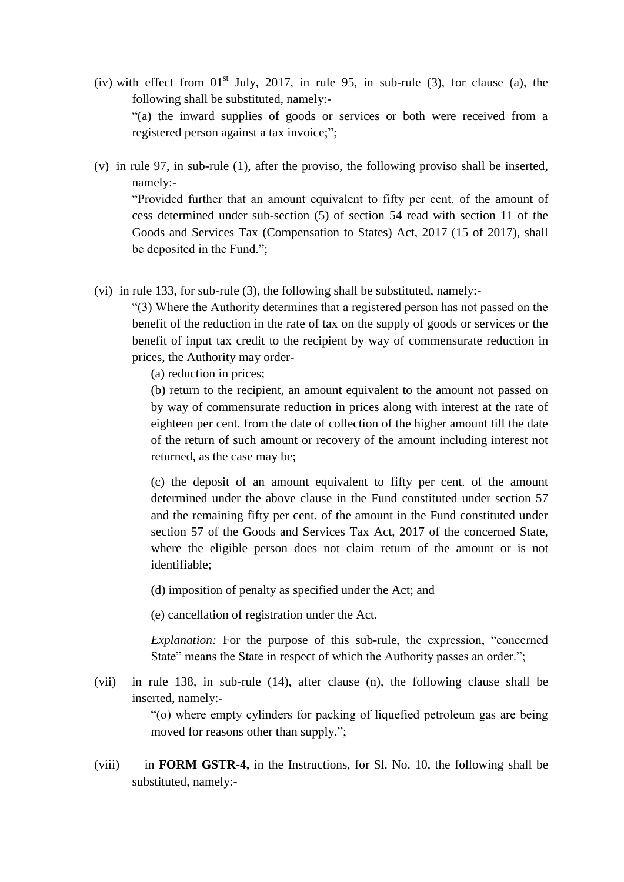- (iv) with effect from  $01<sup>st</sup>$  July, 2017, in rule 95, in sub-rule (3), for clause (a), the following shall be substituted, namely:- "(a) the inward supplies of goods or services or both were received from a registered person against a tax invoice;";
- (v) in rule 97, in sub-rule (1), after the proviso, the following proviso shall be inserted, namely:-

"Provided further that an amount equivalent to fifty per cent. of the amount of cess determined under sub-section (5) of section 54 read with section 11 of the Goods and Services Tax (Compensation to States) Act, 2017 (15 of 2017), shall be deposited in the Fund.";

(vi) in rule 133, for sub-rule (3), the following shall be substituted, namely:-

"(3) Where the Authority determines that a registered person has not passed on the benefit of the reduction in the rate of tax on the supply of goods or services or the benefit of input tax credit to the recipient by way of commensurate reduction in prices, the Authority may order-

(a) reduction in prices;

(b) return to the recipient, an amount equivalent to the amount not passed on by way of commensurate reduction in prices along with interest at the rate of eighteen per cent. from the date of collection of the higher amount till the date of the return of such amount or recovery of the amount including interest not returned, as the case may be;

(c) the deposit of an amount equivalent to fifty per cent. of the amount determined under the above clause in the Fund constituted under section 57 and the remaining fifty per cent. of the amount in the Fund constituted under section 57 of the Goods and Services Tax Act, 2017 of the concerned State, where the eligible person does not claim return of the amount or is not identifiable;

(d) imposition of penalty as specified under the Act; and

(e) cancellation of registration under the Act.

*Explanation:* For the purpose of this sub-rule, the expression, "concerned State" means the State in respect of which the Authority passes an order.";

(vii) in rule 138, in sub-rule (14), after clause (n), the following clause shall be inserted, namely:-

> "(o) where empty cylinders for packing of liquefied petroleum gas are being moved for reasons other than supply.";

(viii) in **FORM GSTR-4,** in the Instructions, for Sl. No. 10, the following shall be substituted, namely:-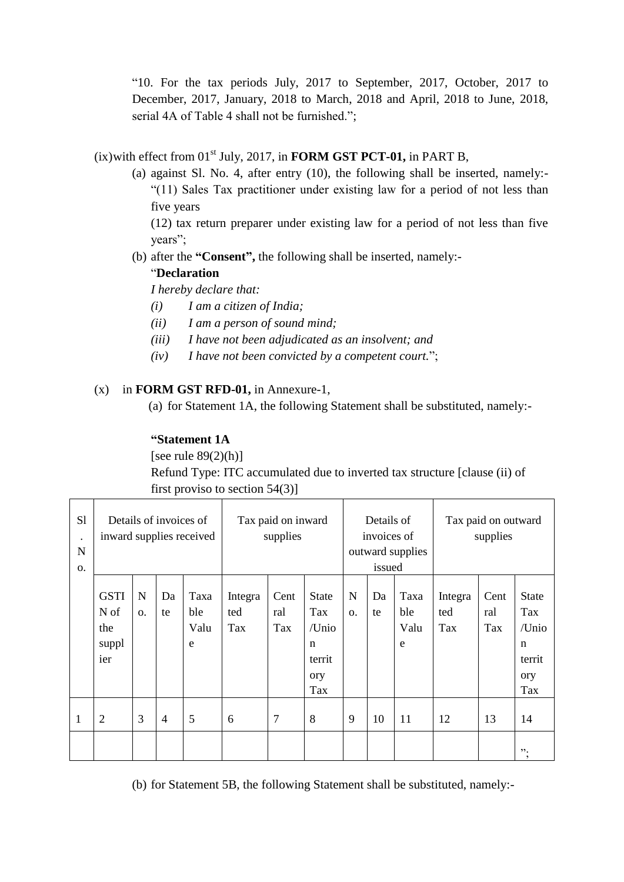"10. For the tax periods July, 2017 to September, 2017, October, 2017 to December, 2017, January, 2018 to March, 2018 and April, 2018 to June, 2018, serial 4A of Table 4 shall not be furnished.";

# $(ix)$  with effect from  $01<sup>st</sup>$  July, 2017, in **FORM GST PCT-01**, in PART B,

(a) against Sl. No. 4, after entry (10), the following shall be inserted, namely:- "(11) Sales Tax practitioner under existing law for a period of not less than five years

(12) tax return preparer under existing law for a period of not less than five years";

(b) after the **"Consent",** the following shall be inserted, namely:-

### "**Declaration**

*I hereby declare that:*

- *(i) I am a citizen of India;*
- *(ii) I am a person of sound mind;*
- *(iii) I have not been adjudicated as an insolvent; and*
- *(iv) I have not been convicted by a competent court.*";

## (x) in **FORM GST RFD-01,** in Annexure-1,

(a) for Statement 1A, the following Statement shall be substituted, namely:-

## **"Statement 1A**

[see rule  $89(2)(h)$ ]

Refund Type: ITC accumulated due to inverted tax structure [clause (ii) of first proviso to section 54(3)]

| S1<br>$\bullet$<br>$\mathbf N$<br>Ο. | Details of invoices of<br>inward supplies received |         |                |                          | Tax paid on inward<br>supplies |                    |                                                                     | Details of<br>invoices of<br>outward supplies<br>issued |          |                          | Tax paid on outward<br>supplies |                    |                                                           |
|--------------------------------------|----------------------------------------------------|---------|----------------|--------------------------|--------------------------------|--------------------|---------------------------------------------------------------------|---------------------------------------------------------|----------|--------------------------|---------------------------------|--------------------|-----------------------------------------------------------|
|                                      | <b>GSTI</b><br>N of<br>the<br>suppl<br>ier         | N<br>0. | Da<br>te       | Taxa<br>ble<br>Valu<br>e | Integra<br>ted<br>Tax          | Cent<br>ral<br>Tax | <b>State</b><br>Tax<br>/Unio<br>$\mathbf n$<br>territ<br>ory<br>Tax | N<br>0.                                                 | Da<br>te | Taxa<br>ble<br>Valu<br>e | Integra<br>ted<br>Tax           | Cent<br>ral<br>Tax | <b>State</b><br>Tax<br>/Unio<br>n<br>territ<br>ory<br>Tax |
| 1                                    | $\overline{2}$                                     | 3       | $\overline{4}$ | 5                        | 6                              | 7                  | 8                                                                   | 9                                                       | 10       | 11                       | 12                              | 13                 | 14                                                        |
|                                      |                                                    |         |                |                          |                                |                    |                                                                     |                                                         |          |                          |                                 |                    | ".<br>$\cdot$                                             |

(b) for Statement 5B, the following Statement shall be substituted, namely:-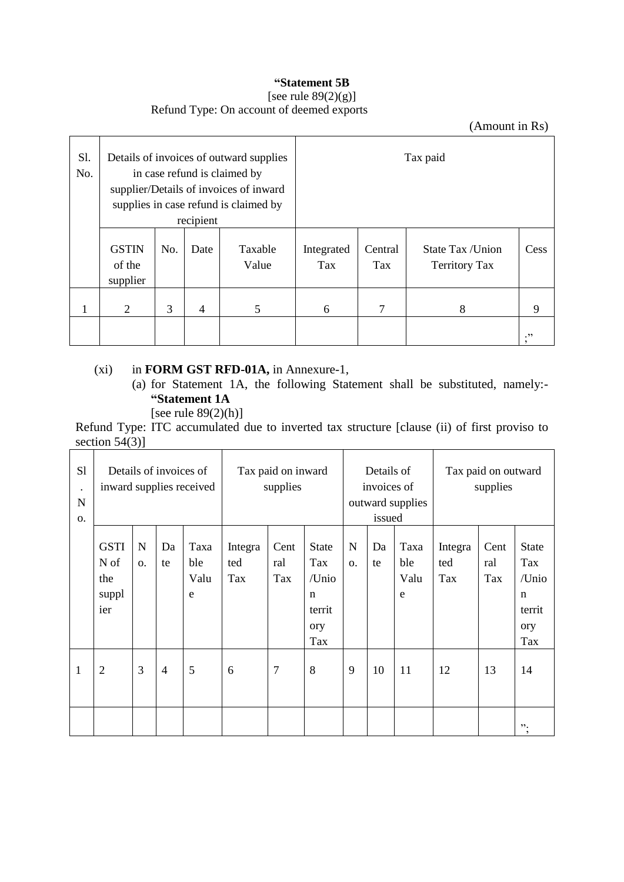## **"Statement 5B**

# [see rule 89(2)(g)]

Refund Type: On account of deemed exports

(Amount in Rs)

| S1.<br>No. |                                    |     | recipient | Details of invoices of outward supplies<br>in case refund is claimed by<br>supplier/Details of invoices of inward<br>supplies in case refund is claimed by |                          |                       | Tax paid                                 |      |
|------------|------------------------------------|-----|-----------|------------------------------------------------------------------------------------------------------------------------------------------------------------|--------------------------|-----------------------|------------------------------------------|------|
|            | <b>GSTIN</b><br>of the<br>supplier | No. | Date      | Taxable<br>Value                                                                                                                                           | Integrated<br><b>Tax</b> | Central<br><b>Tax</b> | State Tax /Union<br><b>Territory Tax</b> | Cess |
|            | 2                                  | 3   | 4         | 5                                                                                                                                                          | 6                        | 7                     | 8                                        | 9    |
|            |                                    |     |           |                                                                                                                                                            |                          |                       |                                          | .,,  |

# (xi) in **FORM GST RFD-01A,** in Annexure-1,

- (a) for Statement 1A, the following Statement shall be substituted, namely:- **"Statement 1A** 
	- [see rule 89(2)(h)]

Refund Type: ITC accumulated due to inverted tax structure [clause (ii) of first proviso to section  $54(3)$ ]

| S1<br>$\bullet$<br>$\mathbf N$<br>0. | Details of invoices of<br>inward supplies received |                |                | Tax paid on inward<br>supplies |                       |                    | Details of<br>invoices of<br>outward supplies<br>issued             |         |          | Tax paid on outward<br>supplies |                       |                    |                                                           |
|--------------------------------------|----------------------------------------------------|----------------|----------------|--------------------------------|-----------------------|--------------------|---------------------------------------------------------------------|---------|----------|---------------------------------|-----------------------|--------------------|-----------------------------------------------------------|
|                                      | <b>GSTI</b><br>N of<br>the<br>suppl<br>ier         | N<br><b>O.</b> | Da<br>te       | Taxa<br>ble<br>Valu<br>e       | Integra<br>ted<br>Tax | Cent<br>ral<br>Tax | <b>State</b><br>Tax<br>/Unio<br>$\mathbf n$<br>territ<br>ory<br>Tax | N<br>0. | Da<br>te | Taxa<br>ble<br>Valu<br>e        | Integra<br>ted<br>Tax | Cent<br>ral<br>Tax | <b>State</b><br>Tax<br>/Unio<br>n<br>territ<br>ory<br>Tax |
| 1                                    | $\overline{2}$                                     | 3              | $\overline{4}$ | 5                              | 6                     | 7                  | 8                                                                   | 9       | 10       | 11                              | 12                    | 13                 | 14                                                        |
|                                      |                                                    |                |                |                                |                       |                    |                                                                     |         |          |                                 |                       |                    | ".<br>$\cdot$                                             |